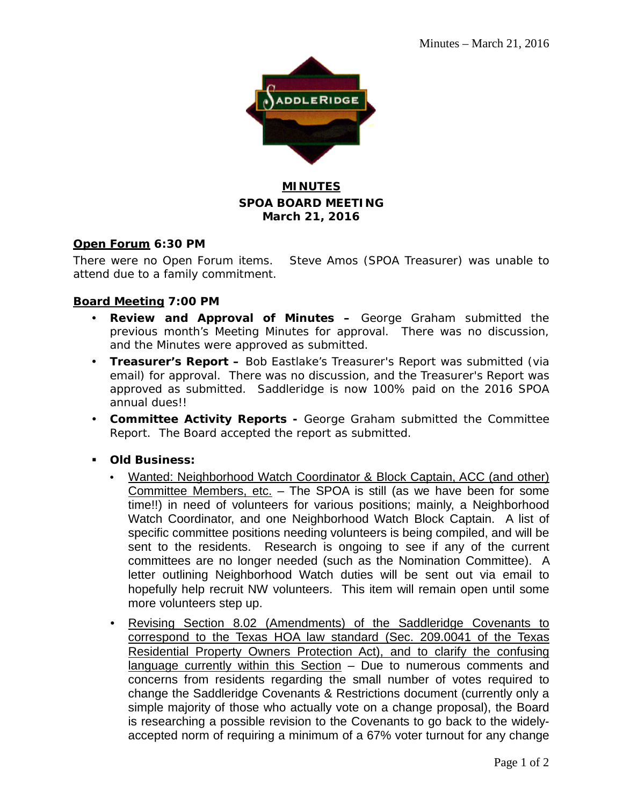

# **MINUTES SPOA BOARD MEETING March 21, 2016**

#### **Open Forum 6:30 PM**

There were no Open Forum items. Steve Amos (SPOA Treasurer) was unable to attend due to a family commitment.

### **Board Meeting 7:00 PM**

- **Review and Approval of Minutes –** George Graham submitted the previous month's Meeting Minutes for approval. There was no discussion, and the Minutes were approved as submitted.
- **Treasurer's Report –** Bob Eastlake's Treasurer's Report was submitted (via email) for approval. There was no discussion, and the Treasurer's Report was approved as submitted. Saddleridge is now 100% paid on the 2016 SPOA annual dues!!
- **Committee Activity Reports -** George Graham submitted the Committee Report. The Board accepted the report as submitted.
- **Old Business:**
	- Wanted: Neighborhood Watch Coordinator & Block Captain, ACC (and other) Committee Members, etc. – The SPOA is still (as we have been for some time!!) in need of volunteers for various positions; mainly, a Neighborhood Watch Coordinator, and one Neighborhood Watch Block Captain. A list of specific committee positions needing volunteers is being compiled, and will be sent to the residents. Research is ongoing to see if any of the current committees are no longer needed (such as the Nomination Committee). A letter outlining Neighborhood Watch duties will be sent out via email to hopefully help recruit NW volunteers. This item will remain open until some more volunteers step up.
	- Revising Section 8.02 (Amendments) of the Saddleridge Covenants to correspond to the Texas HOA law standard (Sec. 209.0041 of the Texas Residential Property Owners Protection Act), and to clarify the confusing language currently within this Section - Due to numerous comments and concerns from residents regarding the small number of votes required to change the Saddleridge Covenants & Restrictions document (currently only a simple majority of those who actually vote on a change proposal), the Board is researching a possible revision to the Covenants to go back to the widelyaccepted norm of requiring a minimum of a 67% voter turnout for any change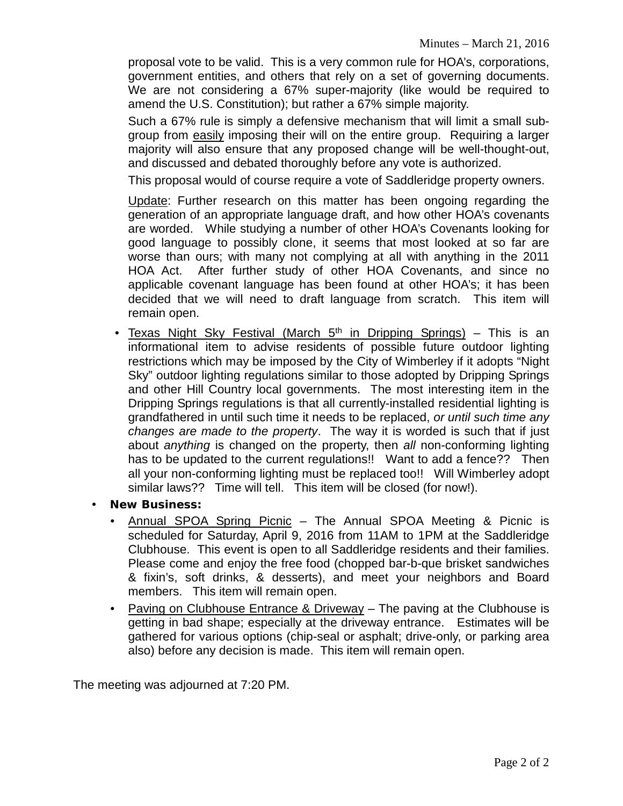proposal vote to be valid. This is a very common rule for HOA's, corporations, government entities, and others that rely on a set of governing documents. We are not considering a 67% super-majority (like would be required to amend the U.S. Constitution); but rather a 67% simple majority.

Such a 67% rule is simply a defensive mechanism that will limit a small subgroup from easily imposing their will on the entire group. Requiring a larger majority will also ensure that any proposed change will be well-thought-out, and discussed and debated thoroughly before any vote is authorized.

This proposal would of course require a vote of Saddleridge property owners.

Update: Further research on this matter has been ongoing regarding the generation of an appropriate language draft, and how other HOA's covenants are worded. While studying a number of other HOA's Covenants looking for good language to possibly clone, it seems that most looked at so far are worse than ours; with many not complying at all with anything in the 2011 HOA Act. After further study of other HOA Covenants, and since no applicable covenant language has been found at other HOA's; it has been decided that we will need to draft language from scratch. This item will remain open.

- Texas Night Sky Festival (March  $5<sup>th</sup>$  in Dripping Springs) This is an informational item to advise residents of possible future outdoor lighting restrictions which may be imposed by the City of Wimberley if it adopts "Night Sky" outdoor lighting regulations similar to those adopted by Dripping Springs and other Hill Country local governments. The most interesting item in the Dripping Springs regulations is that all currently-installed residential lighting is grandfathered in until such time it needs to be replaced, *or until such time any changes are made to the property*. The way it is worded is such that if just about *anything* is changed on the property, then *all* non-conforming lighting has to be updated to the current requiations!! Want to add a fence?? Then all your non-conforming lighting must be replaced too!! Will Wimberley adopt similar laws?? Time will tell. This item will be closed (for now!).
- **New Business:**
	- Annual SPOA Spring Picnic The Annual SPOA Meeting & Picnic is scheduled for Saturday, April 9, 2016 from 11AM to 1PM at the Saddleridge Clubhouse. This event is open to all Saddleridge residents and their families. Please come and enjoy the free food (chopped bar-b-que brisket sandwiches & fixin's, soft drinks, & desserts), and meet your neighbors and Board members. This item will remain open.
	- Paving on Clubhouse Entrance & Driveway The paving at the Clubhouse is getting in bad shape; especially at the driveway entrance. Estimates will be gathered for various options (chip-seal or asphalt; drive-only, or parking area also) before any decision is made. This item will remain open.

The meeting was adjourned at 7:20 PM.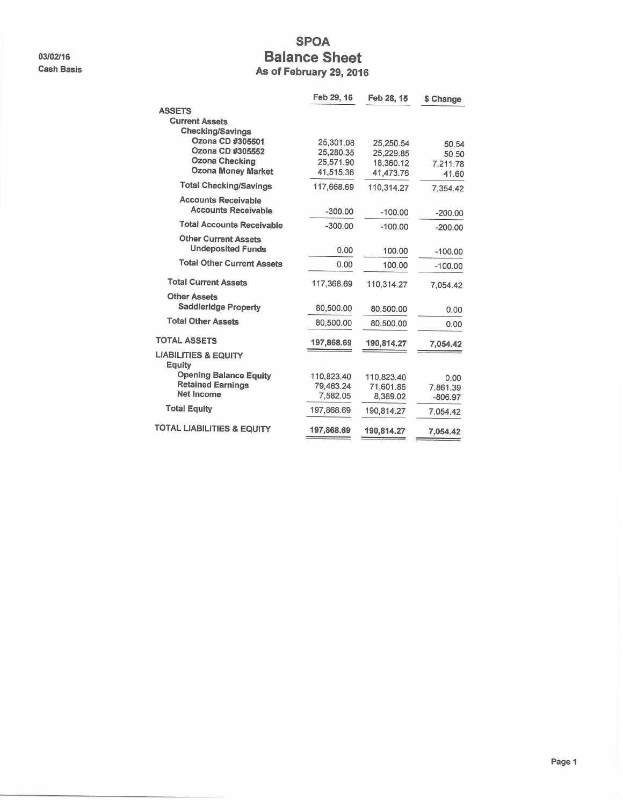03/02/16 **Cash Basis** 

## **SPOA Balance Sheet** As of February 29, 2016

|                                                    | Feb 29, 16 | Feb 28, 15 | \$ Change |
|----------------------------------------------------|------------|------------|-----------|
| <b>ASSETS</b>                                      |            |            |           |
| <b>Current Assets</b>                              |            |            |           |
| <b>Checking/Savings</b>                            |            |            |           |
| Ozona CD #305501                                   | 25,301.08  | 25,250.54  | 50.54     |
| Ozona CD #305552                                   | 25,280.35  | 25,229.85  | 50.50     |
| <b>Ozona Checking</b><br><b>Ozona Money Market</b> | 25,571.90  | 18,360.12  | 7,211.78  |
|                                                    | 41,515.36  | 41,473.76  | 41.60     |
| <b>Total Checking/Savings</b>                      | 117,668.69 | 110,314.27 | 7,354.42  |
| <b>Accounts Receivable</b>                         |            |            |           |
| <b>Accounts Receivable</b>                         | $-300.00$  | $-100.00$  | $-200.00$ |
| <b>Total Accounts Receivable</b>                   | $-300.00$  | $-100.00$  | $-200.00$ |
| <b>Other Current Assets</b>                        |            |            |           |
| <b>Undeposited Funds</b>                           | 0.00       | 100.00     | $-100.00$ |
| <b>Total Other Current Assets</b>                  | 0.00       | 100.00     | $-100.00$ |
| <b>Total Current Assets</b>                        | 117,368.69 | 110,314.27 | 7,054.42  |
| <b>Other Assets</b>                                |            |            |           |
| <b>Saddleridge Property</b>                        | 80,500.00  | 80,500.00  | 0.00      |
| <b>Total Other Assets</b>                          | 80,500.00  | 80,500.00  | 0.00      |
| <b>TOTAL ASSETS</b>                                | 197,868.69 | 190,814.27 | 7,054.42  |
| <b>LIABILITIES &amp; EQUITY</b><br>Equity          |            |            |           |
| <b>Opening Balance Equity</b>                      | 110,823.40 | 110,823.40 | 0.00      |
| <b>Retained Earnings</b>                           | 79,463.24  | 71,601.85  | 7,861.39  |
| Net Income                                         | 7,582.05   | 8,389.02   | $-806.97$ |
| <b>Total Equity</b>                                | 197,868.69 | 190,814.27 | 7,054.42  |
| <b>TOTAL LIABILITIES &amp; EQUITY</b>              | 197,868.69 | 190,814.27 | 7,054.42  |
|                                                    |            |            |           |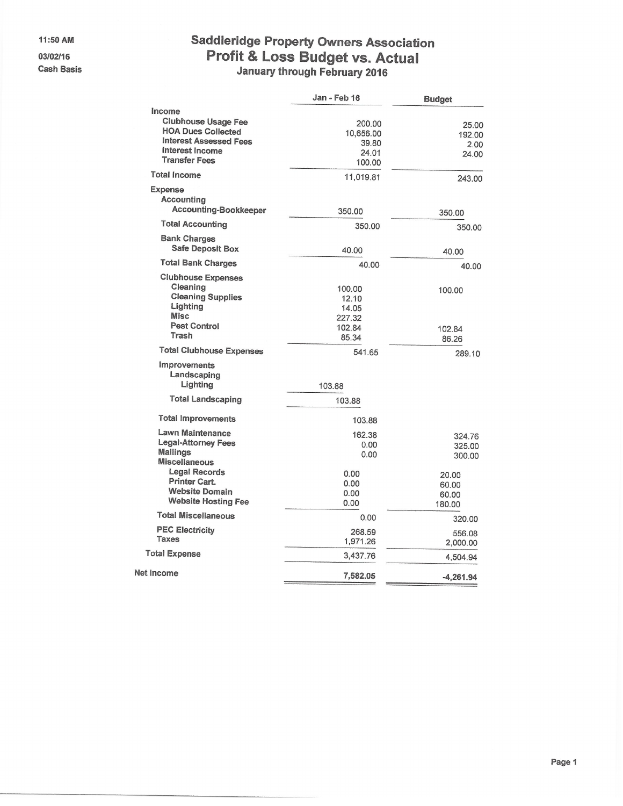11:50 AM

03/02/16 **Cash Basis** 

# **Saddleridge Property Owners Association** Profit & Loss Budget vs. Actual<br>January through February 2016

|                                                                                                                                               | Jan - Feb 16                                          | <b>Budget</b>                     |
|-----------------------------------------------------------------------------------------------------------------------------------------------|-------------------------------------------------------|-----------------------------------|
| Income<br><b>Clubhouse Usage Fee</b><br><b>HOA Dues Collected</b><br><b>Interest Assessed Fees</b><br>Interest Income<br><b>Transfer Fees</b> | 200.00<br>10,656.00<br>39.80<br>24.01<br>100.00       | 25.00<br>192.00<br>2.00<br>24.00  |
| <b>Total Income</b>                                                                                                                           | 11,019.81                                             | 243.00                            |
| <b>Expense</b><br>Accounting<br><b>Accounting-Bookkeeper</b>                                                                                  | 350.00                                                | 350.00                            |
| <b>Total Accounting</b>                                                                                                                       | 350.00                                                | 350.00                            |
| <b>Bank Charges</b><br><b>Safe Deposit Box</b>                                                                                                | 40.00                                                 | 40.00                             |
| <b>Total Bank Charges</b>                                                                                                                     | 40.00                                                 | 40.00                             |
| <b>Clubhouse Expenses</b><br>Cleaning<br><b>Cleaning Supplies</b><br>Lighting<br><b>Misc</b><br><b>Pest Control</b><br>Trash                  | 100.00<br>12.10<br>14.05<br>227.32<br>102.84<br>85.34 | 100.00<br>102.84<br>86.26         |
| <b>Total Clubhouse Expenses</b>                                                                                                               | 541.65                                                | 289.10                            |
| Improvements<br>Landscaping<br>Lighting                                                                                                       | 103.88                                                |                                   |
| <b>Total Landscaping</b>                                                                                                                      | 103.88                                                |                                   |
| <b>Total Improvements</b>                                                                                                                     | 103.88                                                |                                   |
| <b>Lawn Maintenance</b><br>Legal-Attorney Fees<br><b>Mailings</b><br><b>Miscellaneous</b>                                                     | 162.38<br>0.00<br>0.00                                | 324.76<br>325.00<br>300.00        |
| <b>Legal Records</b><br><b>Printer Cart.</b><br><b>Website Domain</b><br><b>Website Hosting Fee</b>                                           | 0.00<br>0.00<br>0.00<br>0.00                          | 20.00<br>60.00<br>60.00<br>180.00 |
| <b>Total Miscellaneous</b>                                                                                                                    | 0.00                                                  | 320.00                            |
| <b>PEC Electricity</b><br><b>Taxes</b>                                                                                                        | 268.59<br>1,971.26                                    | 556.08<br>2,000.00                |
| <b>Total Expense</b>                                                                                                                          | 3,437.76                                              | 4,504.94                          |
| <b>Net Income</b>                                                                                                                             | 7,582.05                                              | $-4,261.94$                       |